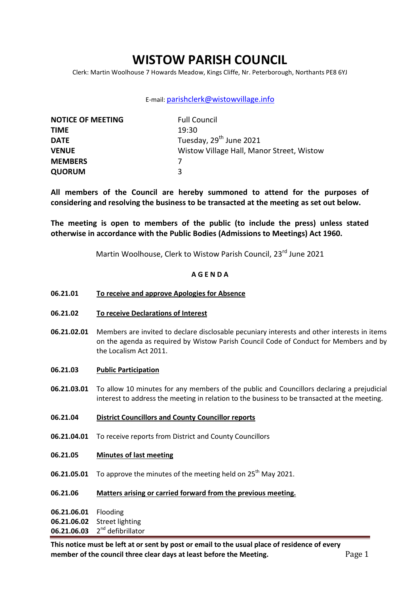# **WISTOW PARISH COUNCIL**

Clerk: Martin Woolhouse 7 Howards Meadow, Kings Cliffe, Nr. Peterborough, Northants PE8 6YJ

# E-mail: [parishclerk@wistowvillage.info](mailto:parishclerk@wistowvillage.info)

| <b>NOTICE OF MEETING</b> | <b>Full Council</b>                       |
|--------------------------|-------------------------------------------|
| <b>TIME</b>              | 19:30                                     |
| <b>DATE</b>              | Tuesday, 29 <sup>th</sup> June 2021       |
| <b>VENUE</b>             | Wistow Village Hall, Manor Street, Wistow |
| <b>MEMBERS</b>           |                                           |
| <b>QUORUM</b>            |                                           |

**All members of the Council are hereby summoned to attend for the purposes of considering and resolving the business to be transacted at the meeting as set out below.** 

**The meeting is open to members of the public (to include the press) unless stated otherwise in accordance with the Public Bodies (Admissions to Meetings) Act 1960.**

Martin Woolhouse, Clerk to Wistow Parish Council, 23rd June 2021

# **A G E N D A**

- **06.21.01 To receive and approve Apologies for Absence**
- **06.21.02 To receive Declarations of Interest**
- **06.21.02.01** Members are invited to declare disclosable pecuniary interests and other interests in items on the agenda as required by Wistow Parish Council Code of Conduct for Members and by the Localism Act 2011.
- **06.21.03 Public Participation**
- **06.21.03.01** To allow 10 minutes for any members of the public and Councillors declaring a prejudicial interest to address the meeting in relation to the business to be transacted at the meeting.
- **06.21.04 District Councillors and County Councillor reports**
- **06.21.04.01** To receive reports from District and County Councillors
- **06.21.05 Minutes of last meeting**
- **06.21.05.01** To approve the minutes of the meeting held on 25<sup>th</sup> May 2021.
- **06.21.06 Matters arising or carried forward from the previous meeting.**

**06.21.06.01** Flooding **06.21.06.02** Street lighting

**06.21.06.03** 2<sup>nd</sup> defibrillator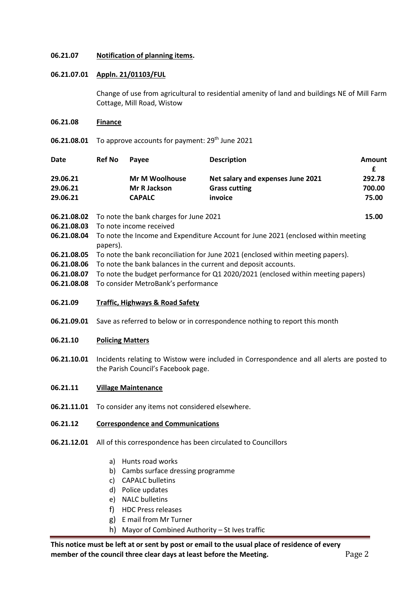#### **06.21.07 Notification of planning items.**

## **06.21.07.01 Appln. 21/01103/FUL**

Change of use from agricultural to residential amenity of land and buildings NE of Mill Farm Cottage, Mill Road, Wistow

- **06.21.08 Finance**
- **06.21.08.01** To approve accounts for payment: 29<sup>th</sup> June 2021

| <b>Ref No</b><br><b>Date</b><br><b>Pavee</b>          |                       | <b>Description</b>                | Amount |
|-------------------------------------------------------|-----------------------|-----------------------------------|--------|
|                                                       |                       |                                   |        |
|                                                       | <b>Mr M Woolhouse</b> | Net salary and expenses June 2021 | 292.78 |
| 29.06.21<br>Mr R Jackson<br>29.06.21<br><b>CAPALC</b> | <b>Grass cutting</b>  | 700.00                            |        |
|                                                       |                       | invoice                           | 75.00  |
|                                                       |                       |                                   |        |

- **06.21.08.02** To note the bank charges for June 2021 **15.00**
- **06.21.08.03** To note income received
- **06.21.08.04** To note the Income and Expenditure Account for June 2021 (enclosed within meeting papers).
- **06.21.08.05** To note the bank reconciliation for June 2021 (enclosed within meeting papers).
- **06.21.08.06** To note the bank balances in the current and deposit accounts.
- **06.21.08.07** To note the budget performance for Q1 2020/2021 (enclosed within meeting papers)
- **06.21.08.08** To consider MetroBank's performance
- **06.21.09 Traffic, Highways & Road Safety**
- **06.21.09.01** Save as referred to below or in correspondence nothing to report this month

#### **06.21.10 Policing Matters**

**06.21.10.01** Incidents relating to Wistow were included in Correspondence and all alerts are posted to the Parish Council's Facebook page.

#### **06.21.11 Village Maintenance**

**06.21.11.01** To consider any items not considered elsewhere.

#### **06.21.12 Correspondence and Communications**

- **06.21.12.01** All of this correspondence has been circulated to Councillors
	- a) Hunts road works
	- b) Cambs surface dressing programme
	- c) CAPALC bulletins
	- d) Police updates
	- e) NALC bulletins
	- f) HDC Press releases
	- g) E mail from Mr Turner
	- h) Mayor of Combined Authority St Ives traffic